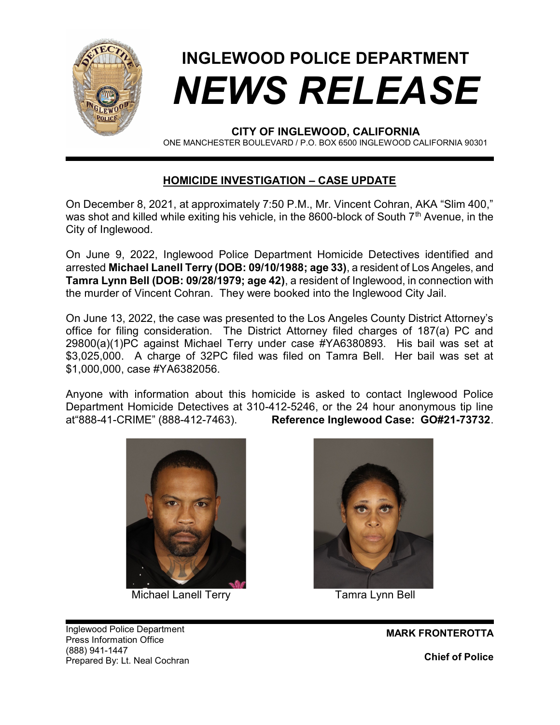

## INGLEWOOD POLICE DEPARTMENT NEWS RELEASE

CITY OF INGLEWOOD, CALIFORNIA

ONE MANCHESTER BOULEVARD / P.O. BOX 6500 INGLEWOOD CALIFORNIA 90301

## HOMICIDE INVESTIGATION – CASE UPDATE

On December 8, 2021, at approximately 7:50 P.M., Mr. Vincent Cohran, AKA "Slim 400," was shot and killed while exiting his vehicle, in the 8600-block of South  $7<sup>th</sup>$  Avenue, in the City of Inglewood.

On June 9, 2022, Inglewood Police Department Homicide Detectives identified and arrested Michael Lanell Terry (DOB: 09/10/1988; age 33), a resident of Los Angeles, and Tamra Lynn Bell (DOB: 09/28/1979; age 42), a resident of Inglewood, in connection with the murder of Vincent Cohran. They were booked into the Inglewood City Jail.

On June 13, 2022, the case was presented to the Los Angeles County District Attorney's office for filing consideration. The District Attorney filed charges of 187(a) PC and 29800(a)(1)PC against Michael Terry under case #YA6380893. His bail was set at \$3,025,000. A charge of 32PC filed was filed on Tamra Bell. Her bail was set at \$1,000,000, case #YA6382056.

Anyone with information about this homicide is asked to contact Inglewood Police Department Homicide Detectives at 310-412-5246, or the 24 hour anonymous tip line at"888-41-CRIME" (888-412-7463). Reference Inglewood Case: GO#21-73732.



Michael Lanell Terry Tamra Lynn Bell



Inglewood Police Department Press Information Office (888) 941-1447 Prepared By: Lt. Neal Cochran

MARK FRONTEROTTA Chief of Police